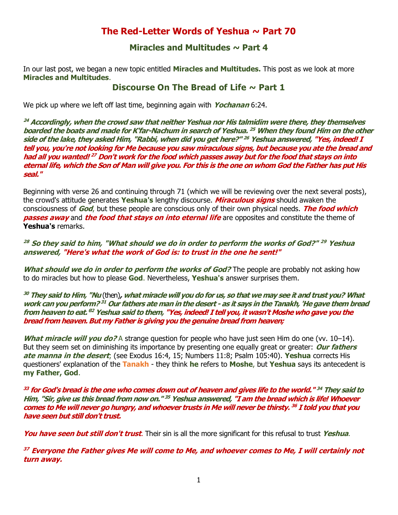# **The Red-Letter Words of Yeshua ~ Part 70**

## **Miracles and Multitudes ~ Part 4**

In our last post, we began a new topic entitled **Miracles and Multitudes.** This post as we look at more **Miracles and Multitudes**.

## **Discourse On The Bread of Life ~ Part 1**

We pick up where we left off last time, beginning again with **Yochanan** 6:24.

**<sup>24</sup> Accordingly, when the crowd saw that neither Yeshua nor His talmidim were there, they themselves boarded the boats and made for K'far-Nachum in search of Yeshua. <sup>25</sup> When they found Him on the other side of the lake, they asked Him, "Rabbi, when did you get here?" <sup>26</sup> Yeshua answered, "Yes, indeed! I tell you, you're not looking for Me because you saw miraculous signs, but because you ate the bread and had all you wanted! <sup>27</sup> Don't work for the food which passes away but for the food that stays on into eternal life, which the Son of Man will give you. For this is the one on whom God the Father has put His seal."**

Beginning with verse 26 and continuing through 71 (which we will be reviewing over the next several posts), the crowd's attitude generates **Yeshua's** lengthy discourse. **Miraculous signs** should awaken the consciousness of **God**, but these people are conscious only of their own physical needs. **The food which passes away** and **the food that stays on into eternal life** are opposites and constitute the theme of **Yeshua's** remarks.

**<sup>28</sup> So they said to him, "What should we do in order to perform the works of God?" <sup>29</sup> Yeshua answered, "Here's what the work of God is: to trust in the one he sent!"**

**What should we do in order to perform the works of God?** The people are probably not asking how to do miracles but how to please **God**. Nevertheless, **Yeshua's** answer surprises them.

**<sup>30</sup> They said to Him, "Nu** (then)**, what miracle will you do for us, so that we may see it and trust you? What work can you perform? <sup>31</sup> Our fathers ate man in the desert - as it says in the Tanakh, 'He gave them bread from heaven to eat.' <sup>32</sup> Yeshua said to them, "Yes, indeed! I tell you, it wasn't Moshe who gave you the bread from heaven. But my Father is giving you the genuine bread from heaven;**

**What miracle will you do?** A strange question for people who have just seen Him do one (vv. 10–14). But they seem set on diminishing its importance by presenting one equally great or greater: **Our fathers ate manna in the desert**; (see Exodus 16:4, 15; Numbers 11:8; Psalm 105:40). **Yeshua** corrects His questioners' explanation of the **Tanakh** - they think **he** refers to **Moshe**, but **Yeshua** says its antecedent is **my Father, God**.

**33 for God's bread is the one who comes down out of heaven and gives life to the world." <sup>34</sup> They said to Him, "Sir, give us this bread from now on." <sup>35</sup> Yeshua answered, "I am the bread which is life! Whoever comes to Me will never go hungry, and whoever trusts in Me will never be thirsty. <sup>36</sup> I told you that you have seen but still don't trust.**

**You have seen but still don't trust**. Their sin is all the more significant for this refusal to trust **Yeshua**.

**<sup>37</sup> Everyone the Father gives Me will come to Me, and whoever comes to Me, I will certainly not turn away.**